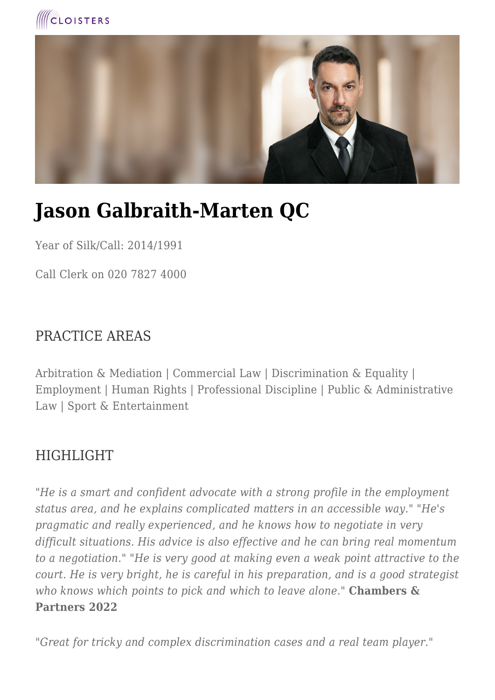



# **Jason Galbraith-Marten QC**

Year of Silk/Call: 2014/1991

Call Clerk on 020 7827 4000

### PRACTICE AREAS

Arbitration & Mediation | Commercial Law | Discrimination & Equality | Employment | Human Rights | Professional Discipline | Public & Administrative Law | Sport & Entertainment

### **HIGHLIGHT**

*"He is a smart and confident advocate with a strong profile in the employment status area, and he explains complicated matters in an accessible way." "He's pragmatic and really experienced, and he knows how to negotiate in very difficult situations. His advice is also effective and he can bring real momentum to a negotiation." "He is very good at making even a weak point attractive to the court. He is very bright, he is careful in his preparation, and is a good strategist who knows which points to pick and which to leave alone."* **Chambers & Partners 2022**

*"Great for tricky and complex discrimination cases and a real team player."*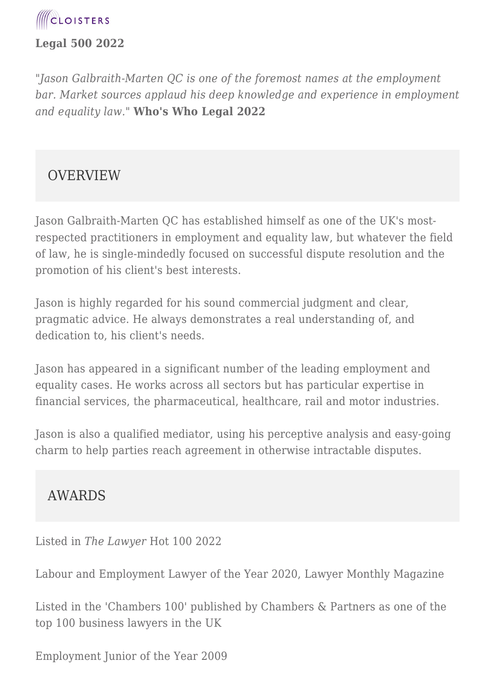

#### **Legal 500 2022**

*"Jason Galbraith-Marten QC is one of the foremost names at the employment bar. Market sources applaud his deep knowledge and experience in employment and equality law."* **Who's Who Legal 2022** 

#### **OVERVIEW**

Jason Galbraith-Marten QC has established himself as one of the UK's mostrespected practitioners in employment and equality law, but whatever the field of law, he is single-mindedly focused on successful dispute resolution and the promotion of his client's best interests.

Jason is highly regarded for his sound commercial judgment and clear, pragmatic advice. He always demonstrates a real understanding of, and dedication to, his client's needs.

Jason has appeared in a significant number of the leading employment and equality cases. He works across all sectors but has particular expertise in financial services, the pharmaceutical, healthcare, rail and motor industries.

Jason is also a qualified mediator, using his perceptive analysis and easy-going charm to help parties reach agreement in otherwise intractable disputes.

#### AWARDS

Listed in *The Lawyer* Hot 100 2022

Labour and Employment Lawyer of the Year 2020, Lawyer Monthly Magazine

Listed in the 'Chambers 100' published by Chambers & Partners as one of the top 100 business lawyers in the UK

Employment Junior of the Year 2009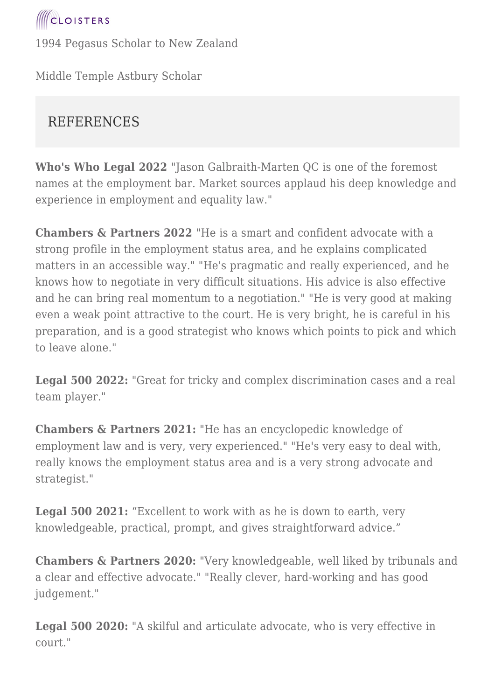

1994 Pegasus Scholar to New Zealand

Middle Temple Astbury Scholar

## **REFERENCES**

**Who's Who Legal 2022** "Jason Galbraith-Marten QC is one of the foremost names at the employment bar. Market sources applaud his deep knowledge and experience in employment and equality law."

**Chambers & Partners 2022** "He is a smart and confident advocate with a strong profile in the employment status area, and he explains complicated matters in an accessible way." "He's pragmatic and really experienced, and he knows how to negotiate in very difficult situations. His advice is also effective and he can bring real momentum to a negotiation." "He is very good at making even a weak point attractive to the court. He is very bright, he is careful in his preparation, and is a good strategist who knows which points to pick and which to leave alone."

**Legal 500 2022:** "Great for tricky and complex discrimination cases and a real team player."

**Chambers & Partners 2021:** "He has an encyclopedic knowledge of employment law and is very, very experienced." "He's very easy to deal with, really knows the employment status area and is a very strong advocate and strategist."

**Legal 500 2021:** "Excellent to work with as he is down to earth, very knowledgeable, practical, prompt, and gives straightforward advice."

**Chambers & Partners 2020:** "Very knowledgeable, well liked by tribunals and a clear and effective advocate." "Really clever, hard-working and has good judgement."

**Legal 500 2020:** "A skilful and articulate advocate, who is very effective in court."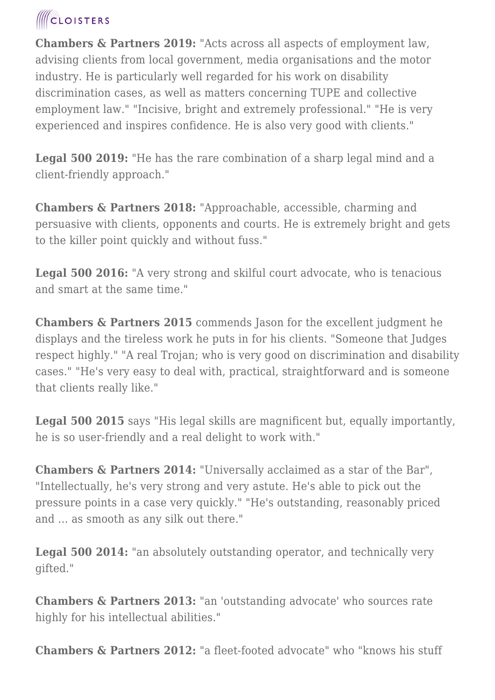# **ICLOISTERS**

**Chambers & Partners 2019:** "Acts across all aspects of employment law, advising clients from local government, media organisations and the motor industry. He is particularly well regarded for his work on disability discrimination cases, as well as matters concerning TUPE and collective employment law." "Incisive, bright and extremely professional." "He is very experienced and inspires confidence. He is also very good with clients."

**Legal 500 2019:** "He has the rare combination of a sharp legal mind and a client-friendly approach."

**Chambers & Partners 2018:** "Approachable, accessible, charming and persuasive with clients, opponents and courts. He is extremely bright and gets to the killer point quickly and without fuss."

**Legal 500 2016:** "A very strong and skilful court advocate, who is tenacious and smart at the same time."

**Chambers & Partners 2015** commends Jason for the excellent judgment he displays and the tireless work he puts in for his clients. "Someone that Judges respect highly." "A real Trojan; who is very good on discrimination and disability cases." "He's very easy to deal with, practical, straightforward and is someone that clients really like."

**Legal 500 2015** says "His legal skills are magnificent but, equally importantly, he is so user-friendly and a real delight to work with."

**Chambers & Partners 2014:** "Universally acclaimed as a star of the Bar", "Intellectually, he's very strong and very astute. He's able to pick out the pressure points in a case very quickly." "He's outstanding, reasonably priced and ... as smooth as any silk out there."

**Legal 500 2014:** "an absolutely outstanding operator, and technically very gifted."

**Chambers & Partners 2013:** "an 'outstanding advocate' who sources rate highly for his intellectual abilities."

**Chambers & Partners 2012:** "a fleet-footed advocate" who "knows his stuff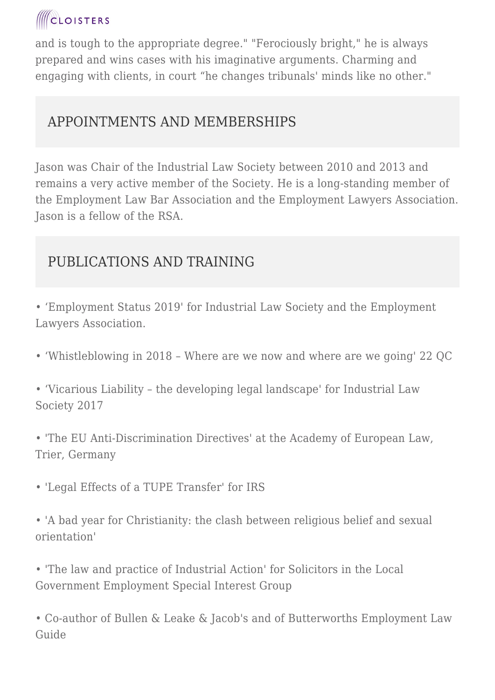# **ICLOISTERS**

and is tough to the appropriate degree." "Ferociously bright," he is always prepared and wins cases with his imaginative arguments. Charming and engaging with clients, in court "he changes tribunals' minds like no other."

# APPOINTMENTS AND MEMBERSHIPS

Jason was Chair of the Industrial Law Society between 2010 and 2013 and remains a very active member of the Society. He is a long-standing member of the Employment Law Bar Association and the Employment Lawyers Association. Jason is a fellow of the RSA.

# PUBLICATIONS AND TRAINING

• 'Employment Status 2019' for Industrial Law Society and the Employment Lawyers Association.

• 'Whistleblowing in 2018 – Where are we now and where are we going' 22 QC

• 'Vicarious Liability – the developing legal landscape' for Industrial Law Society 2017

• 'The EU Anti-Discrimination Directives' at the Academy of European Law, Trier, Germany

• 'Legal Effects of a TUPE Transfer' for IRS

• 'A bad year for Christianity: the clash between religious belief and sexual orientation'

• 'The law and practice of Industrial Action' for Solicitors in the Local Government Employment Special Interest Group

• Co-author of Bullen & Leake & Jacob's and of Butterworths Employment Law Guide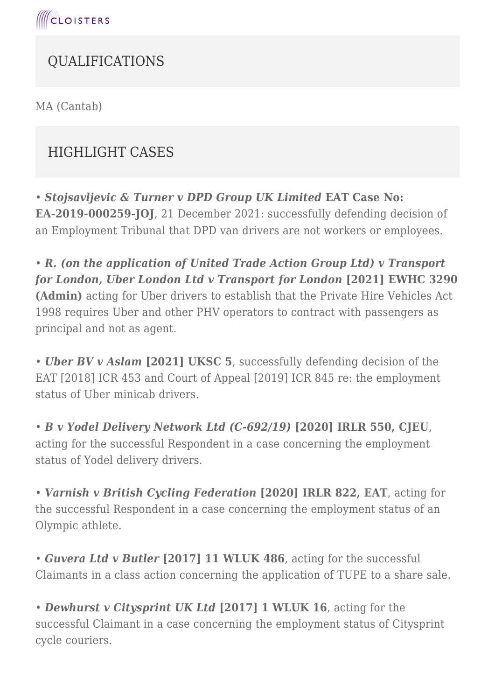

# QUALIFICATIONS

MA (Cantab)

# HIGHLIGHT CASES

• *Stojsavljevic & Turner v DPD Group UK Limited* **EAT Case No: EA-2019-000259-JOJ**, 21 December 2021: successfully defending decision of an Employment Tribunal that DPD van drivers are not workers or employees.

• *R. (on the application of United Trade Action Group Ltd) v Transport for London, Uber London Ltd v Transport for London* **[2021] EWHC 3290 (Admin)** acting for Uber drivers to establish that the Private Hire Vehicles Act 1998 requires Uber and other PHV operators to contract with passengers as principal and not as agent.

• *Uber BV v Aslam* **[2021] UKSC 5**, successfully defending decision of the EAT [2018] ICR 453 and Court of Appeal [2019] ICR 845 re: the employment status of Uber minicab drivers.

• *B v Yodel Delivery Network Ltd (C-692/19)* **[2020] IRLR 550, CJEU**, acting for the successful Respondent in a case concerning the employment status of Yodel delivery drivers.

• *Varnish v British Cycling Federation* **[2020] IRLR 822, EAT**, acting for the successful Respondent in a case concerning the employment status of an Olympic athlete.

• *Guvera Ltd v Butler* **[2017] 11 WLUK 486**, acting for the successful Claimants in a class action concerning the application of TUPE to a share sale.

• *Dewhurst v Citysprint UK Ltd* **[2017] 1 WLUK 16**, acting for the successful Claimant in a case concerning the employment status of Citysprint cycle couriers.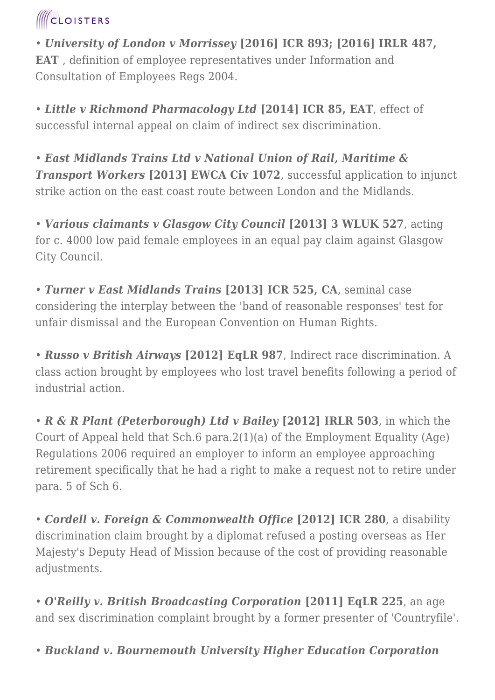# **ICLOISTERS**

• *University of London v Morrissey* **[2016] ICR 893; [2016] IRLR 487, EAT** , definition of employee representatives under Information and Consultation of Employees Regs 2004.

• *Little v Richmond Pharmacology Ltd* **[2014] ICR 85, EAT**, effect of successful internal appeal on claim of indirect sex discrimination.

• *East Midlands Trains Ltd v National Union of Rail, Maritime & Transport Workers* [2013] **EWCA Civ 1072**, successful application to injunct strike action on the east coast route between London and the Midlands.

• *Various claimants v Glasgow City Council* **[2013] 3 WLUK 527**, acting for c. 4000 low paid female employees in an equal pay claim against Glasgow City Council.

• *Turner v East Midlands Trains* **[2013] ICR 525, CA**, seminal case considering the interplay between the 'band of reasonable responses' test for unfair dismissal and the European Convention on Human Rights.

• *Russo v British Airways* **[2012] EqLR 987**, Indirect race discrimination. A class action brought by employees who lost travel benefits following a period of industrial action.

• *R & R Plant (Peterborough) Ltd v Bailey* **[2012] IRLR 503**, in which the Court of Appeal held that Sch.6 para.2(1)(a) of the Employment Equality (Age) Regulations 2006 required an employer to inform an employee approaching retirement specifically that he had a right to make a request not to retire under para. 5 of Sch 6.

• *Cordell v. Foreign & Commonwealth Office* **[2012] ICR 280**, a disability discrimination claim brought by a diplomat refused a posting overseas as Her Majesty's Deputy Head of Mission because of the cost of providing reasonable adjustments.

• *O'Reilly v. British Broadcasting Corporation* **[2011] EqLR 225**, an age and sex discrimination complaint brought by a former presenter of 'Countryfile'.

• *Buckland v. Bournemouth University Higher Education Corporation*